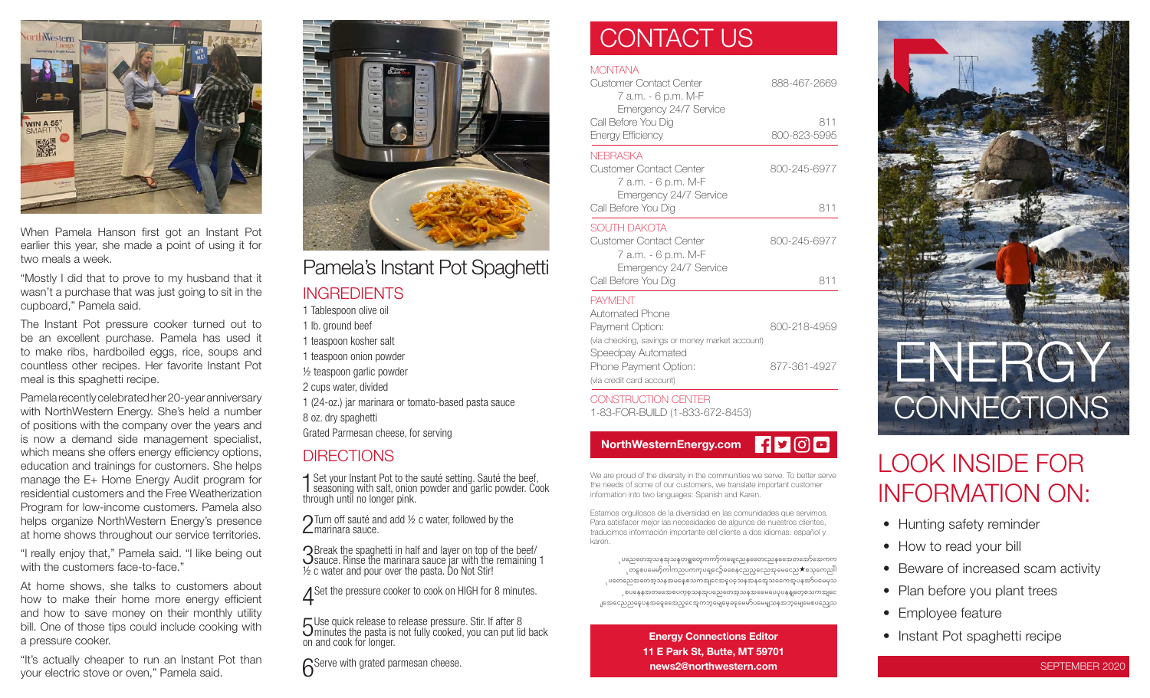

When Pamela Hanson first got an Instant Pot earlier this year, she made a point of using it for two meals a week.

"Mostly I did that to prove to my husband that it wasn't a purchase that was just going to sit in the cupboard," Pamela said.

The Instant Pot pressure cooker turned out to be an excellent purchase. Pamela has used it to make ribs, hardboiled eggs, rice, soups and countless other recipes. Her favorite Instant Pot meal is this spaghetti recipe.

Pamela recently celebrated her 20-year anniversary with NorthWestern Energy. She's held a number of positions with the company over the years and is now a demand side management specialist, which means she offers energy efficiency options, education and trainings for customers. She helps manage the E+ Home Energy Audit program for residential customers and the Free Weatherization Program for low-income customers. Pamela also helps organize NorthWestern Energy's presence at home shows throughout our service territories.

"I really enjoy that," Pamela said. "I like being out with the customers face-to-face."

At home shows, she talks to customers about how to make their home more energy efficient and how to save money on their monthly utility bill. One of those tips could include cooking with a pressure cooker.

"It's actually cheaper to run an Instant Pot than your electric stove or oven," Pamela said.



Pamela's Instant Pot Spaghetti

#### **INGREDIENTS**

1 Tablespoon olive oil 1 lb. ground beef

1 teaspoon kosher salt

1 teaspoon onion powder

½ teaspoon garlic powder

2 cups water, divided

1 (24-oz.) jar marinara or tomato-based pasta sauce

8 oz. dry spaghetti

Grated Parmesan cheese, for serving

#### **DIRECTIONS**

1 Set your Instant Pot to the sauté setting. Sauté the beef, seasoning with salt, onion powder and garlic powder. Cook through until no longer pink.

 $\bigcap$  Turn off sauté and add  $\frac{1}{2}$  c water, followed by the  $\mathsf{\Sigma}$ marinara sauce.

3 Break the spaghetti in half and layer on top of the beef/ sauce. Rinse the marinara sauce jar with the remaining 1 ½ c water and pour over the pasta. Do Not Stir!

A Set the pressure cooker to cook on HIGH for 8 minutes.

5 Use quick release to release pressure. Stir. If after 8 Uminutes the pasta is not fully cooked, you can put lid back on and cook for longer.

**6** Serve with grated parmesan cheese.

### CONTACT US

#### **MONTANA**

| <b>Customer Contact Center</b>                  | 888-467-2669 |
|-------------------------------------------------|--------------|
| 7 a.m. - 6 p.m. M-F                             |              |
| Emergency 24/7 Service<br>Call Before You Dig   | 811          |
| Energy Efficiency                               | 800-823-5995 |
| <b>NEBRASKA</b>                                 |              |
| Customer Contact Center<br>7 а.т. - 6 p.m. М-F  | 800-245-6977 |
| Emergency 24/7 Service<br>Call Before You Dig   | 811          |
| <b>SOUTH DAKOTA</b>                             |              |
| Customer Contact Center<br>7 а.т. - 6 p.m. М-F  | 800-245-6977 |
| Emergency 24/7 Service                          |              |
| Call Before You Dig                             | 811          |
| <b>PAYMENT</b>                                  |              |
| Automated Phone                                 |              |
| Payment Option:                                 | 800-218-4959 |
| (via checking, savings or money market account) |              |
| Speedpay Automated                              |              |
| Phone Pavment Option:                           | 877-361-4927 |

CONSTRUCTION CENTER 1-83-FOR-BUILD (1-833-672-8453)

(via credit card account)



We are proud of the diversity in the communities we serve. To better serve the needs of some of our customers, we translate important customer information into two languages: Spanish and Karen.

Estamos orgullosos de la diversidad en las comunidades que servimos. Para satisfacer mejor las necesidades de algunos de nuestros clientes, traducimos información importante del cliente a dos idiomas: español y karen.

ုပညေတေအူသနအသနတရှုတှေကကာ့်ကရေုငညနတေေငညနတေောတအော်အောကက ုတနှစပမေမာ့်ကါကညပကကုပရျငော့်ခစေနှငညည့္ေညအှမေငေည $\bigstar$ စသုကေညါါ ုပတေညေအတေအ့သနအမနေစသကအျငေအဓူပခဲ့သနအနအေ့သရောအူပနအာ်ပမေမှသ ့စပနေနအတတေောစပက္စစ္သာနအုပညေတေအ့သနအဓေမပေပုပနန္ျတေ့စသကအျငေ .၂အေငေညညငွေပနအနေ့ခေအည့်ငွေအကဘုမျေမေ့ခနမေမာ်ပမေမျှသနအဘုမျေမေစပညျေသ

> Energy Connections Editor 11 E Park St, Butte, MT 59701 news2@northwestern.com



### LOOK INSIDE FOR INFORMATION ON:

- Hunting safety reminder
- How to read your bill
- Beware of increased scam activity
- Plan before you plant trees
- Employee feature
- Instant Pot spaghetti recipe